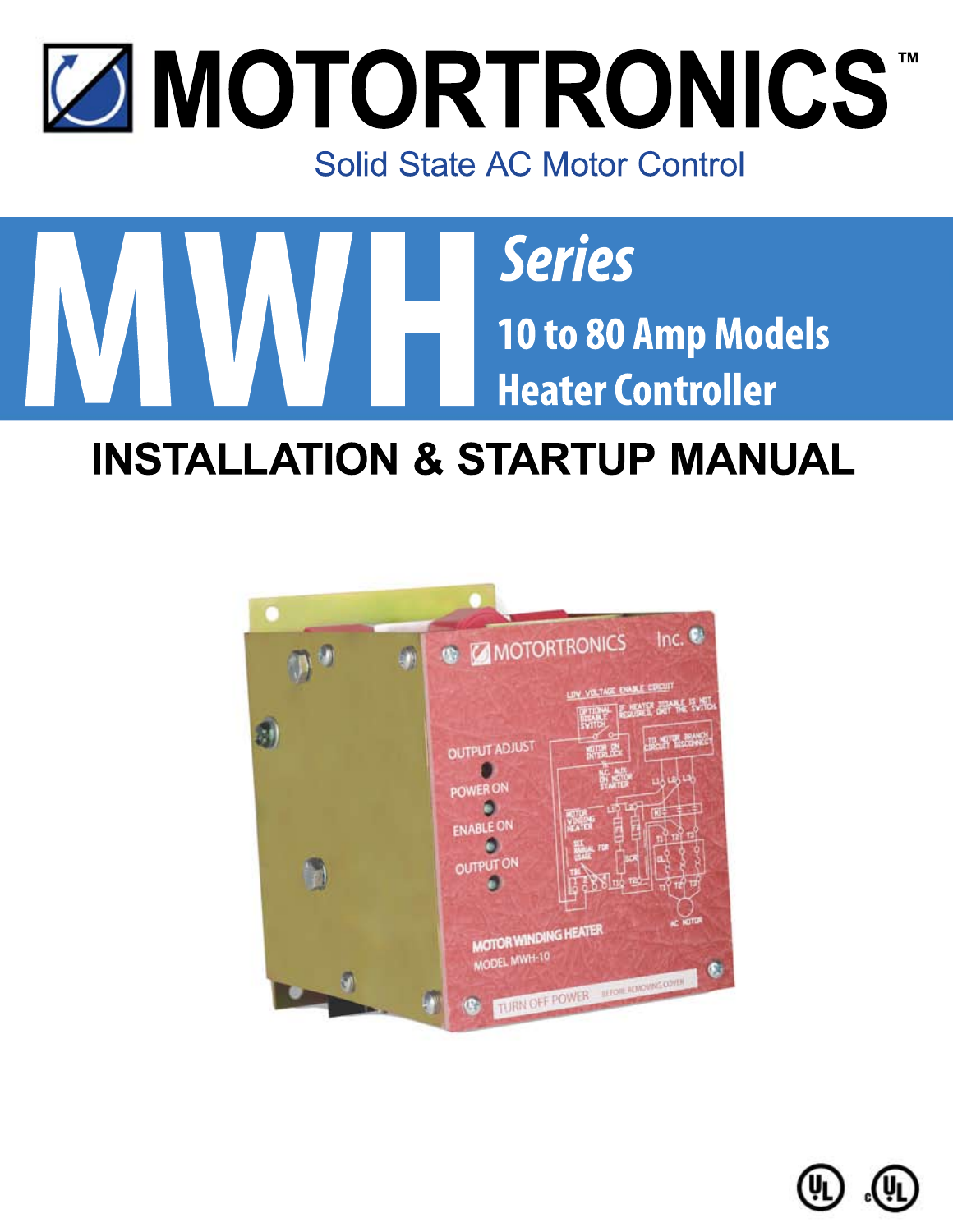# **MOTORTRONICS** Solid State AC Motor Control



# **INSTALLATION & STARTUP MANUAL**



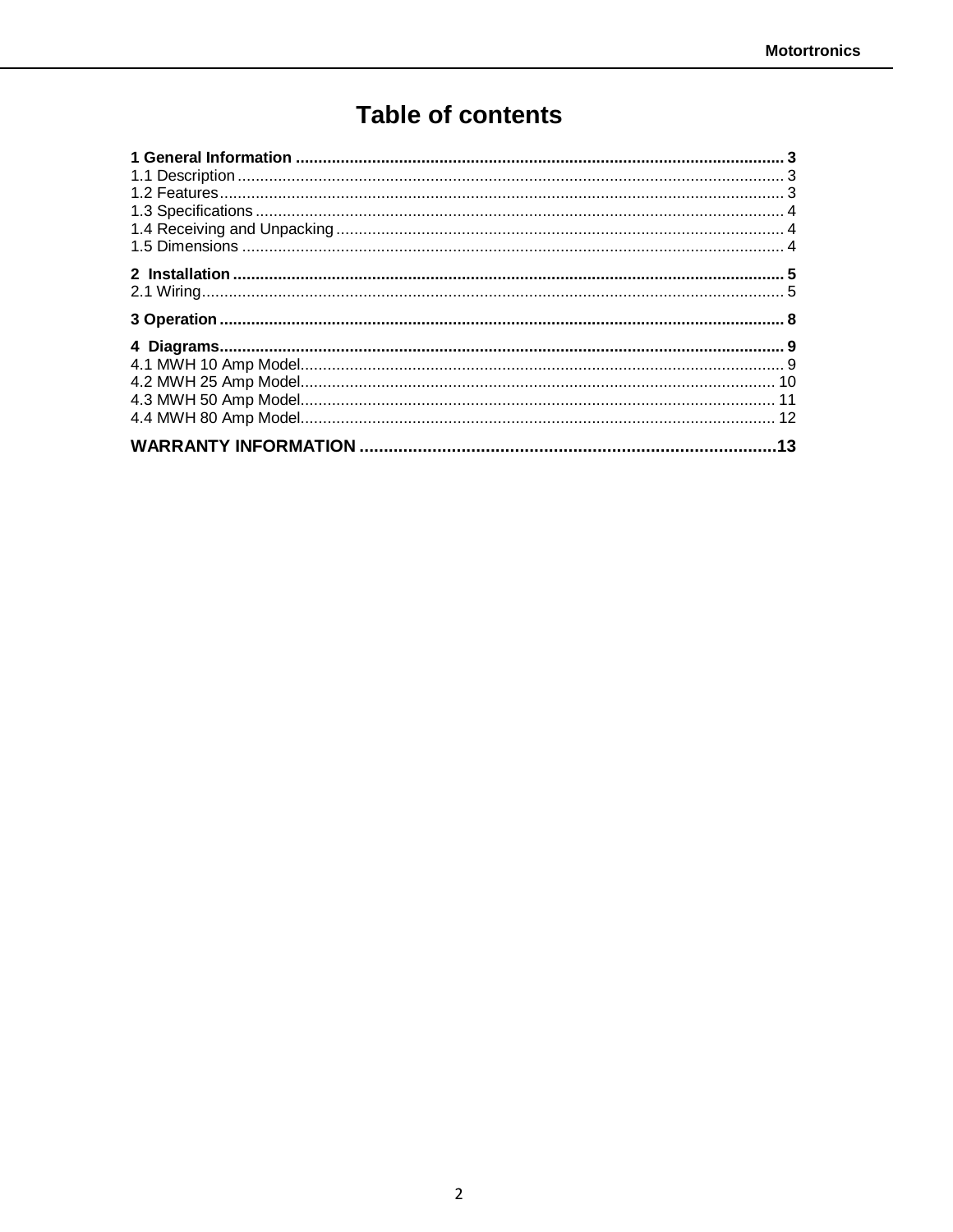# **Table of contents**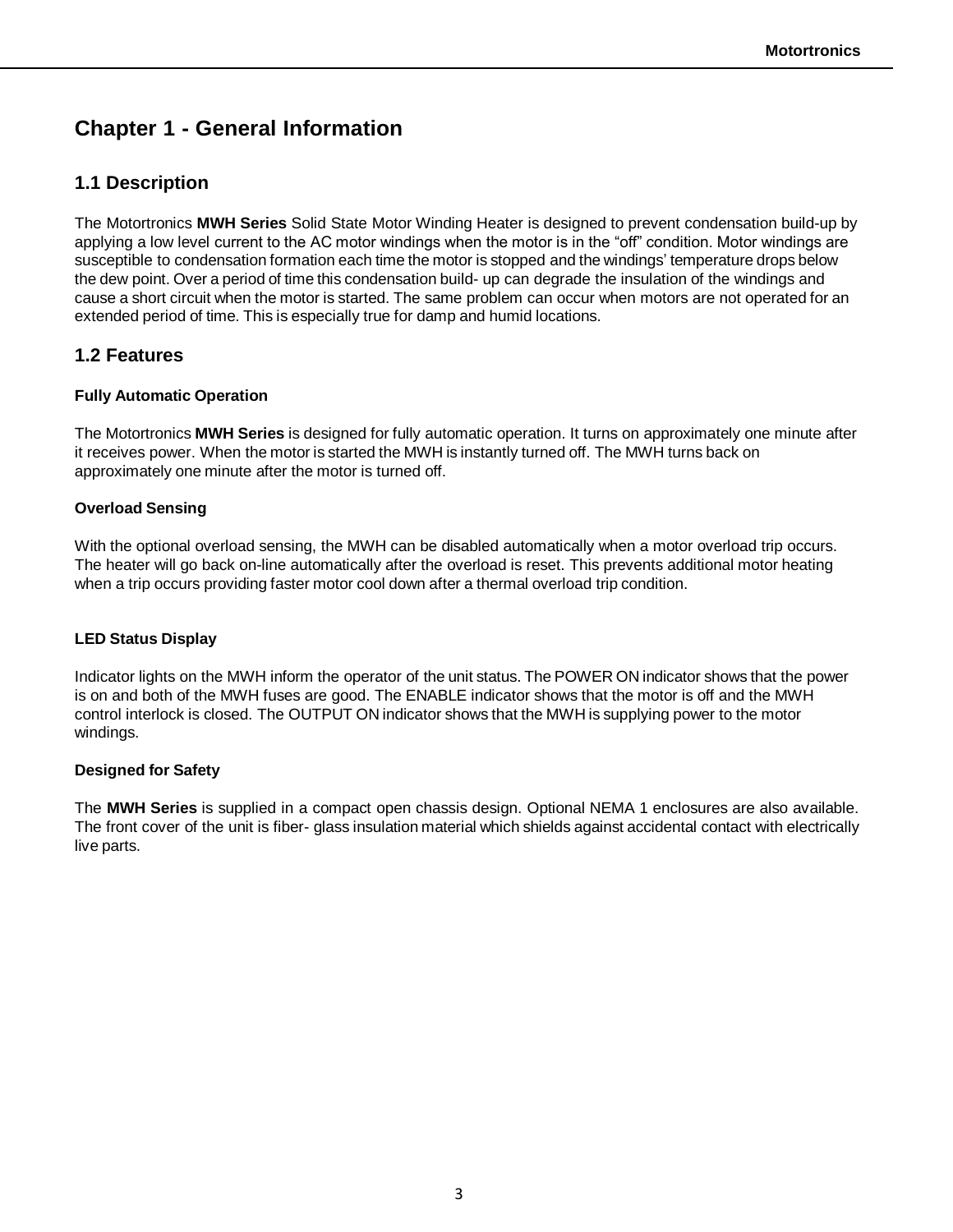# **Chapter 1 - General Information**

# **1.1 Description**

The Motortronics **MWH Series** Solid State Motor Winding Heater is designed to prevent condensation build-up by applying a low level current to the AC motor windings when the motor is in the "off" condition. Motor windings are susceptible to condensation formation each time the motor is stopped and the windings' temperature drops below the dew point. Over a period of time this condensation build- up can degrade the insulation of the windings and cause a short circuit when the motor is started. The same problem can occur when motors are not operated for an extended period of time. This is especially true for damp and humid locations.

# **1.2 Features**

### **Fully Automatic Operation**

The Motortronics **MWH Series** is designed for fully automatic operation. It turns on approximately one minute after it receives power. When the motor is started the MWH is instantly turned off. The MWH turns back on approximately one minute after the motor is turned off.

### **Overload Sensing**

With the optional overload sensing, the MWH can be disabled automatically when a motor overload trip occurs. The heater will go back on-line automatically after the overload is reset. This prevents additional motor heating when a trip occurs providing faster motor cool down after a thermal overload trip condition.

### **LED Status Display**

Indicator lights on the MWH inform the operator of the unit status. The POWER ON indicator shows that the power is on and both of the MWH fuses are good. The ENABLE indicator shows that the motor is off and the MWH control interlock is closed. The OUTPUT ON indicator shows that the MWH is supplying power to the motor windings.

### **Designed for Safety**

The **MWH Series** is supplied in a compact open chassis design. Optional NEMA 1 enclosures are also available. The front cover of the unit is fiber- glass insulation material which shields against accidental contact with electrically live parts.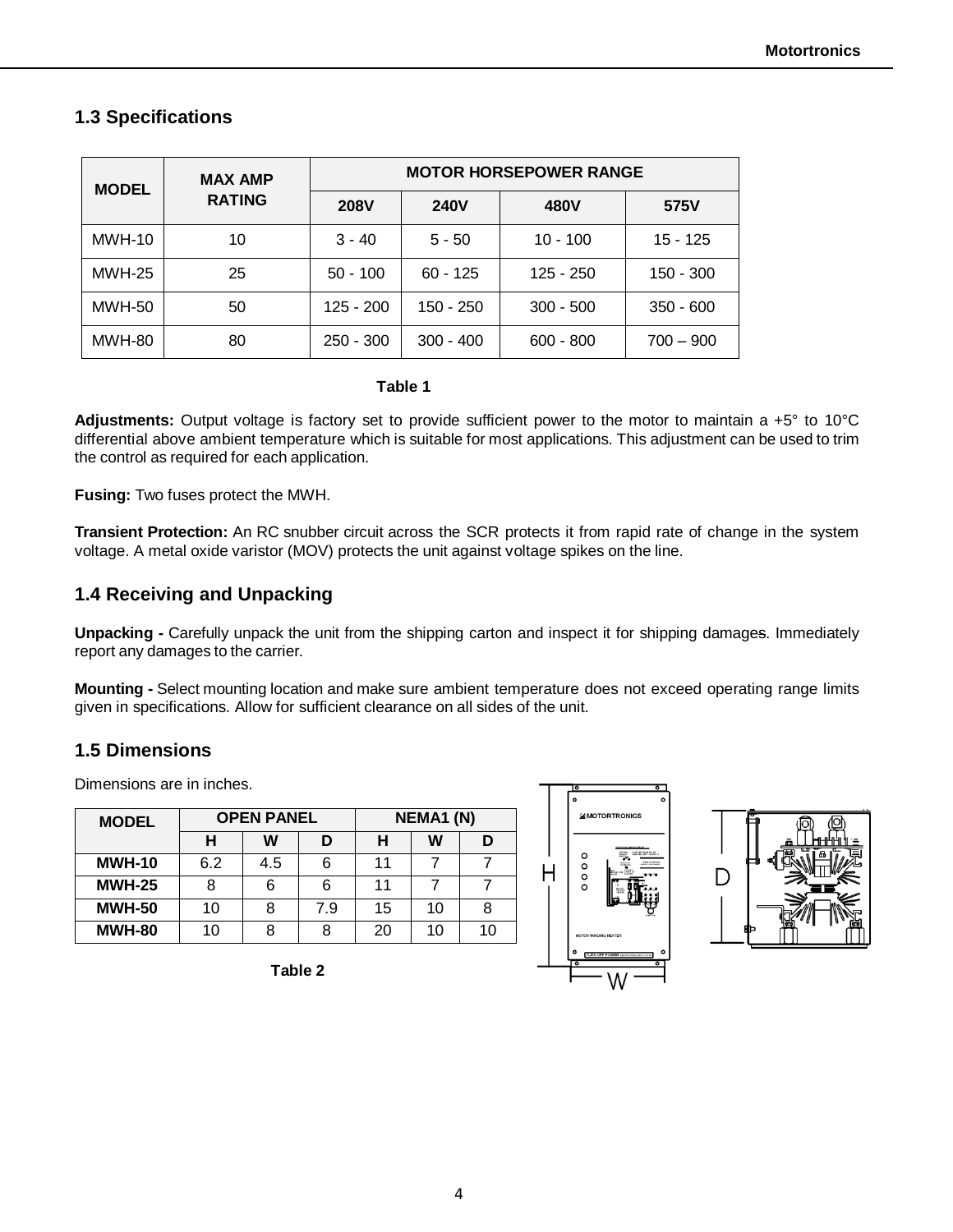# **1.3 Specifications**

| <b>MODEL</b>  | <b>MAX AMP</b><br><b>RATING</b> | <b>MOTOR HORSEPOWER RANGE</b> |             |             |             |
|---------------|---------------------------------|-------------------------------|-------------|-------------|-------------|
|               |                                 | <b>208V</b>                   | <b>240V</b> | 480V        | 575V        |
| <b>MWH-10</b> | 10                              | $3 - 40$                      | $5 - 50$    | $10 - 100$  | 15 - 125    |
| <b>MWH-25</b> | 25                              | $50 - 100$                    | $60 - 125$  | $125 - 250$ | 150 - 300   |
| <b>MWH-50</b> | 50                              | $125 - 200$                   | 150 - 250   | $300 - 500$ | $350 - 600$ |
| <b>MWH-80</b> | 80                              | $250 - 300$                   | $300 - 400$ | $600 - 800$ | $700 - 900$ |

#### **Table 1**

**Adjustments:** Output voltage is factory set to provide sufficient power to the motor to maintain a +5° to 10°C differential above ambient temperature which is suitable for most applications. This adjustment can be used to trim the control as required for each application.

**Fusing:** Two fuses protect the MWH.

**Transient Protection:** An RC snubber circuit across the SCR protects it from rapid rate of change in the system voltage. A metal oxide varistor (MOV) protects the unit against voltage spikes on the line.

# **1.4 Receiving and Unpacking**

**Unpacking -** Carefully unpack the unit from the shipping carton and inspect it for shipping damages. Immediately report any damages to the carrier.

**Mounting -** Select mounting location and make sure ambient temperature does not exceed operating range limits given in specifications. Allow for sufficient clearance on all sides of the unit.

# **1.5 Dimensions**

Dimensions are in inches.

| <b>MODEL</b>  | <b>OPEN PANEL</b> |     |     | <b>NEMA1 (N)</b> |    |    |
|---------------|-------------------|-----|-----|------------------|----|----|
|               | н                 | w   | n   | н                | w  |    |
| <b>MWH-10</b> | 6.2               | 4.5 | 6   | 11               |    |    |
| <b>MWH-25</b> |                   |     | 6   | 11               |    |    |
| <b>MWH-50</b> | 10                |     | 7.9 | 15               | 10 |    |
| <b>MWH-80</b> | 10                |     | 8   | 20               | 10 | 10 |

**Table 2**



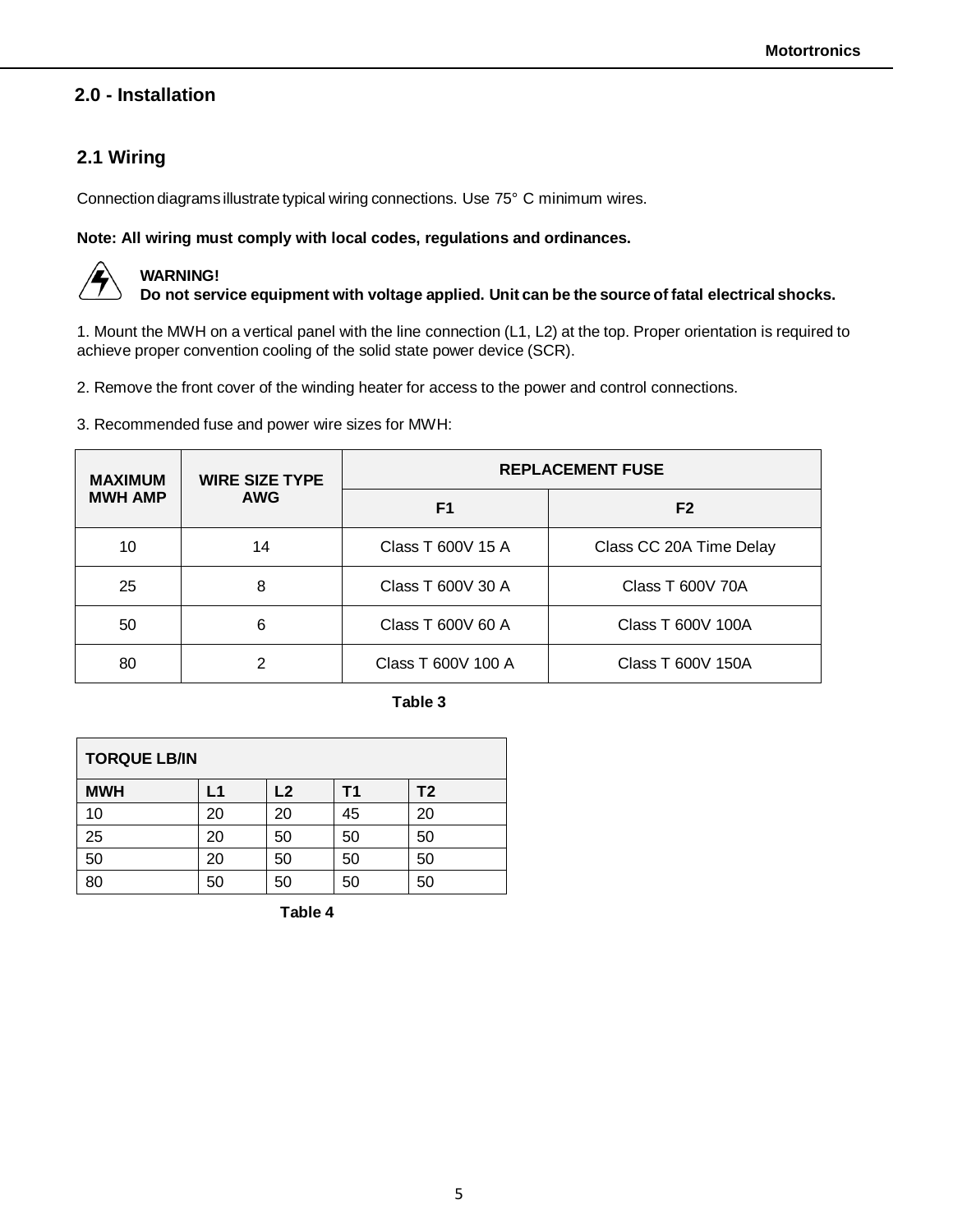# **2.0 - Installation**

# **2.1 Wiring**

Connection diagrams illustrate typical wiring connections. Use 75° C minimum wires.

#### **Note: All wiring must comply with local codes, regulations and ordinances.**



# **WARNING!**

**Do not service equipment with voltage applied. Unit can be the source of fatal electrical shocks.**

1. Mount the MWH on a vertical panel with the line connection (L1, L2) at the top. Proper orientation is required to achieve proper convention cooling of the solid state power device (SCR).

2. Remove the front cover of the winding heater for access to the power and control connections.

3. Recommended fuse and power wire sizes for MWH:

| <b>MAXIMUM</b> | <b>WIRE SIZE TYPE</b><br><b>AWG</b> | <b>REPLACEMENT FUSE</b> |                         |  |  |
|----------------|-------------------------------------|-------------------------|-------------------------|--|--|
| <b>MWH AMP</b> |                                     | F <sub>1</sub>          | F <sub>2</sub>          |  |  |
| 10             | 14                                  | Class T 600V 15 A       | Class CC 20A Time Delay |  |  |
| 25             | 8                                   | Class T 600V 30 A       | Class T 600V 70A        |  |  |
| 50             | 6                                   | Class T 600V 60 A       | Class T 600V 100A       |  |  |
| 80             | າ                                   | Class T 600V 100 A      | Class T 600V 150A       |  |  |

**Table 3**

| <b>TORQUE LB/IN</b> |    |    |    |    |  |
|---------------------|----|----|----|----|--|
| <b>MWH</b>          | L1 | L2 | Τ1 | T2 |  |
| 10                  | 20 | 20 | 45 | 20 |  |
| 25                  | 20 | 50 | 50 | 50 |  |
| 50                  | 20 | 50 | 50 | 50 |  |
| 80                  | 50 | 50 | 50 | 50 |  |

**Table 4**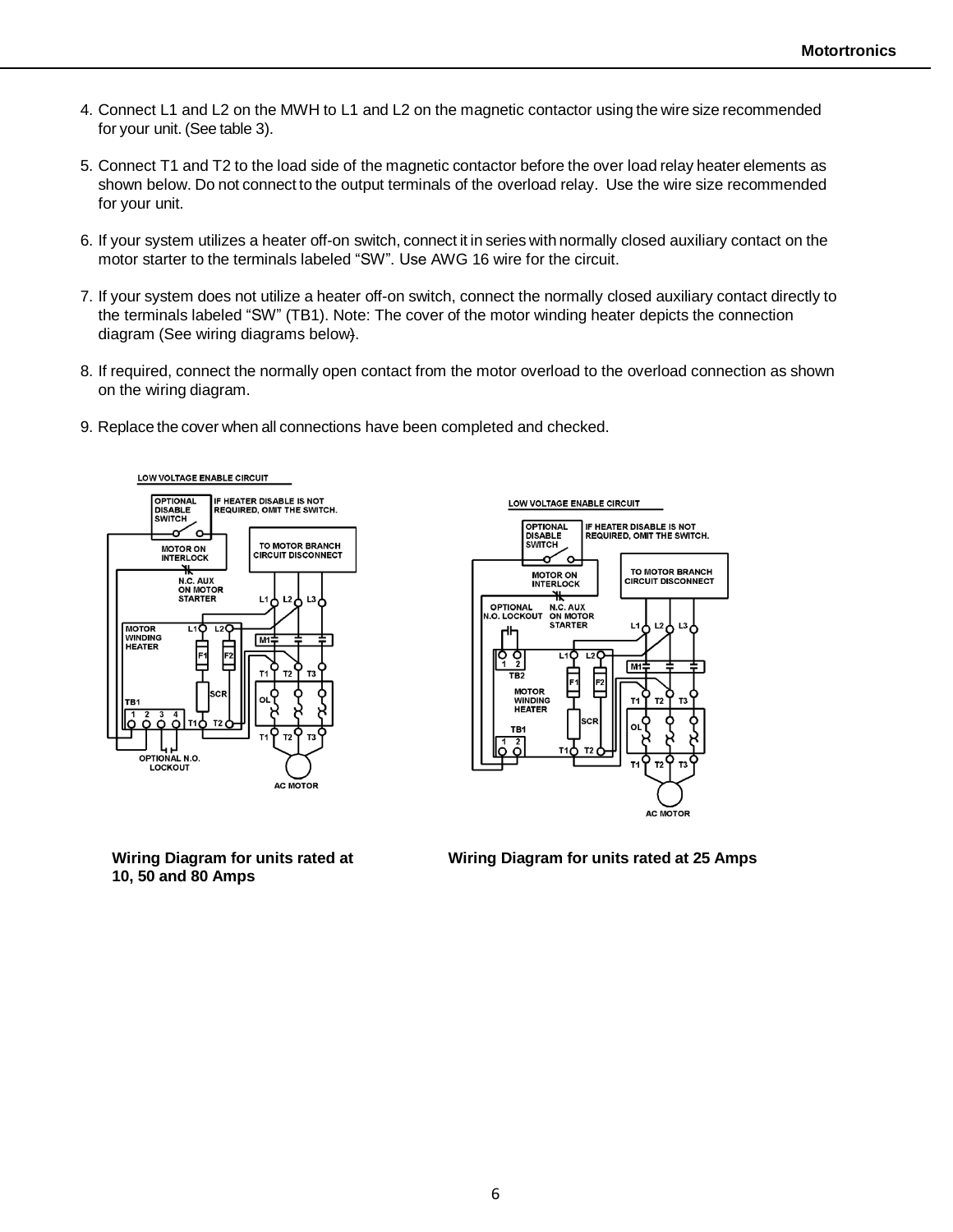- 4. Connect L1 and L2 on the MWH to L1 and L2 on the magnetic contactor using the wire size recommended for your unit. (See table 3).
- 5. Connect T1 and T2 to the load side of the magnetic contactor before the over load relay heater elements as shown below. Do not connect to the output terminals of the overload relay. Use the wire size recommended for your unit.
- 6. If your system utilizes a heater off-on switch, connect it in series with normally closed auxiliary contact on the motor starter to the terminals labeled "SW". Use AWG 16 wire for the circuit.
- 7. If your system does not utilize a heater off-on switch, connect the normally closed auxiliary contact directly to the terminals labeled "SW" (TB1). Note: The cover of the motor winding heater depicts the connection diagram (See wiring diagrams below).
- 8. If required, connect the normally open contact from the motor overload to the overload connection as shown on the wiring diagram.
- 9. Replace the cover when all connections have been completed and checked.





**10, 50 and 80 Amps**

**Wiring Diagram for units rated at Wiring Diagram for units rated at 25 Amps**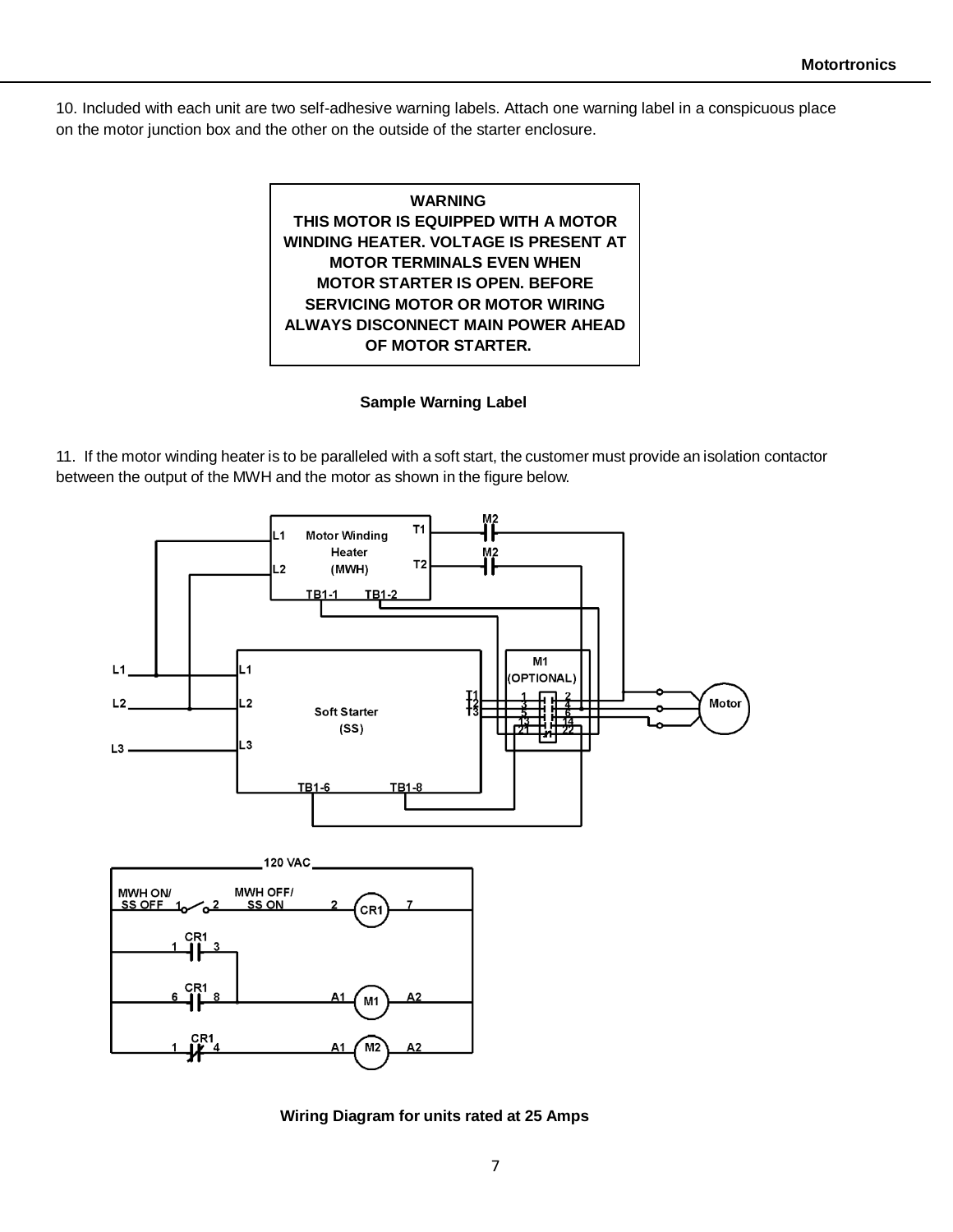10. Included with each unit are two self-adhesive warning labels. Attach one warning label in a conspicuous place on the motor junction box and the other on the outside of the starter enclosure.



### **Sample Warning Label**

11. If the motor winding heater is to be paralleled with a soft start, the customer must provide an isolation contactor between the output of the MWH and the motor as shown in the figure below.



**Wiring Diagram for units rated at 25 Amps**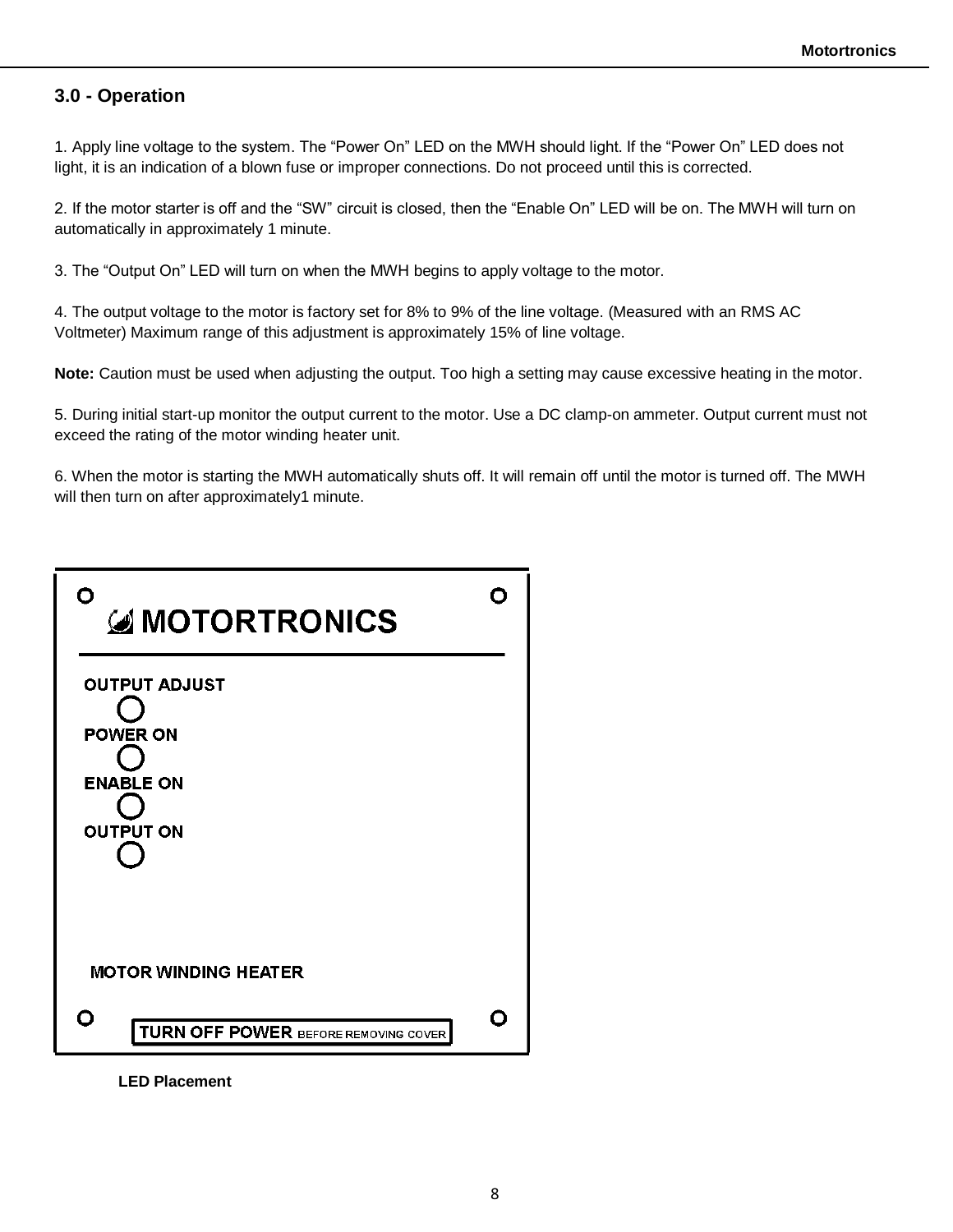## **3.0 - Operation**

1. Apply line voltage to the system. The "Power On" LED on the MWH should light. If the "Power On" LED does not light, it is an indication of a blown fuse or improper connections. Do not proceed until this is corrected.

2. If the motor starter is off and the "SW" circuit is closed, then the "Enable On" LED will be on. The MWH will turn on automatically in approximately 1 minute.

3. The "Output On" LED will turn on when the MWH begins to apply voltage to the motor.

4. The output voltage to the motor is factory set for 8% to 9% of the line voltage. (Measured with an RMS AC Voltmeter) Maximum range of this adjustment is approximately 15% of line voltage.

**Note:** Caution must be used when adjusting the output. Too high a setting may cause excessive heating in the motor.

5. During initial start-up monitor the output current to the motor. Use a DC clamp-on ammeter. Output current must not exceed the rating of the motor winding heater unit.

6. When the motor is starting the MWH automatically shuts off. It will remain off until the motor is turned off. The MWH will then turn on after approximately1 minute.



**LED Placement**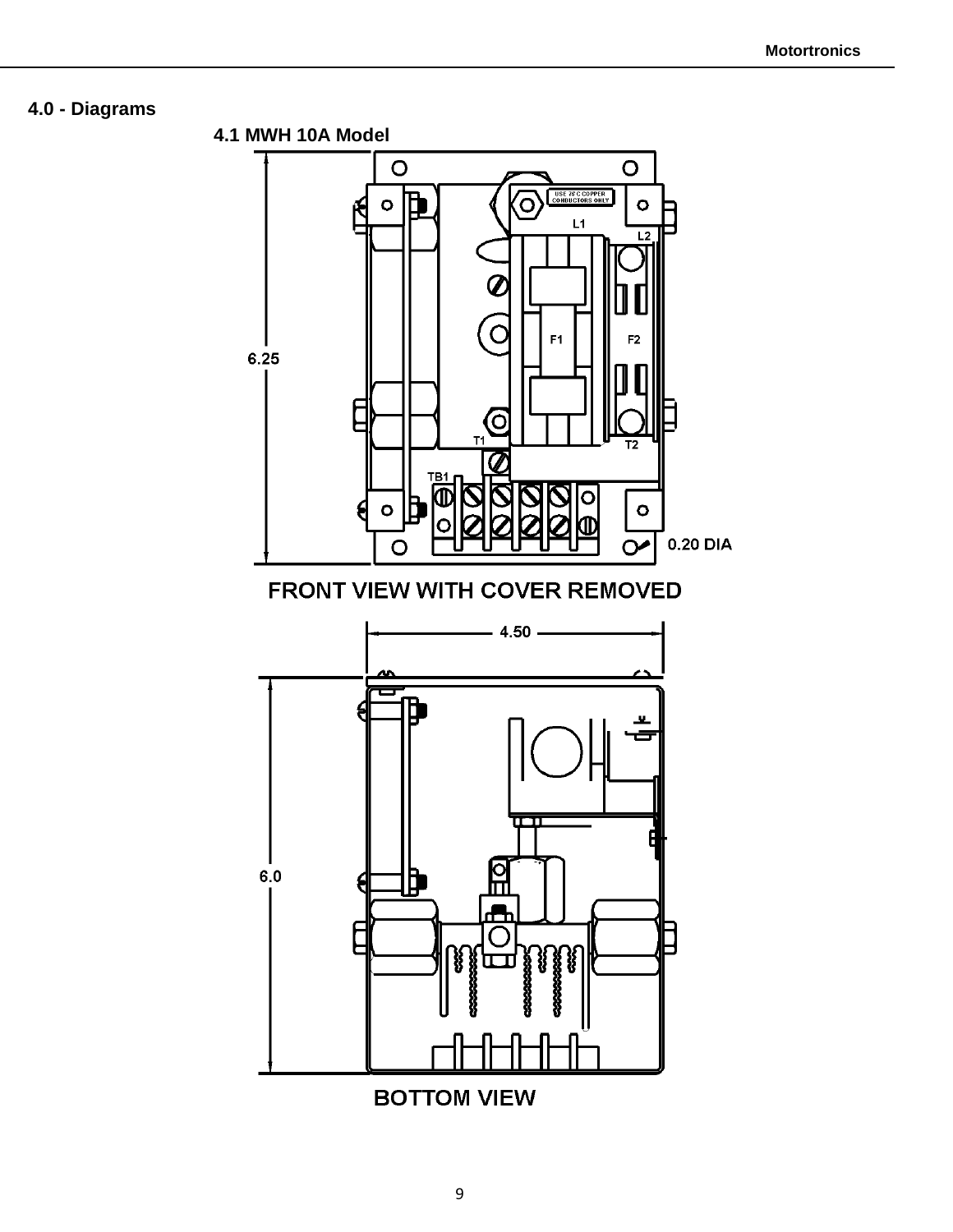# **4.0 - Diagrams**



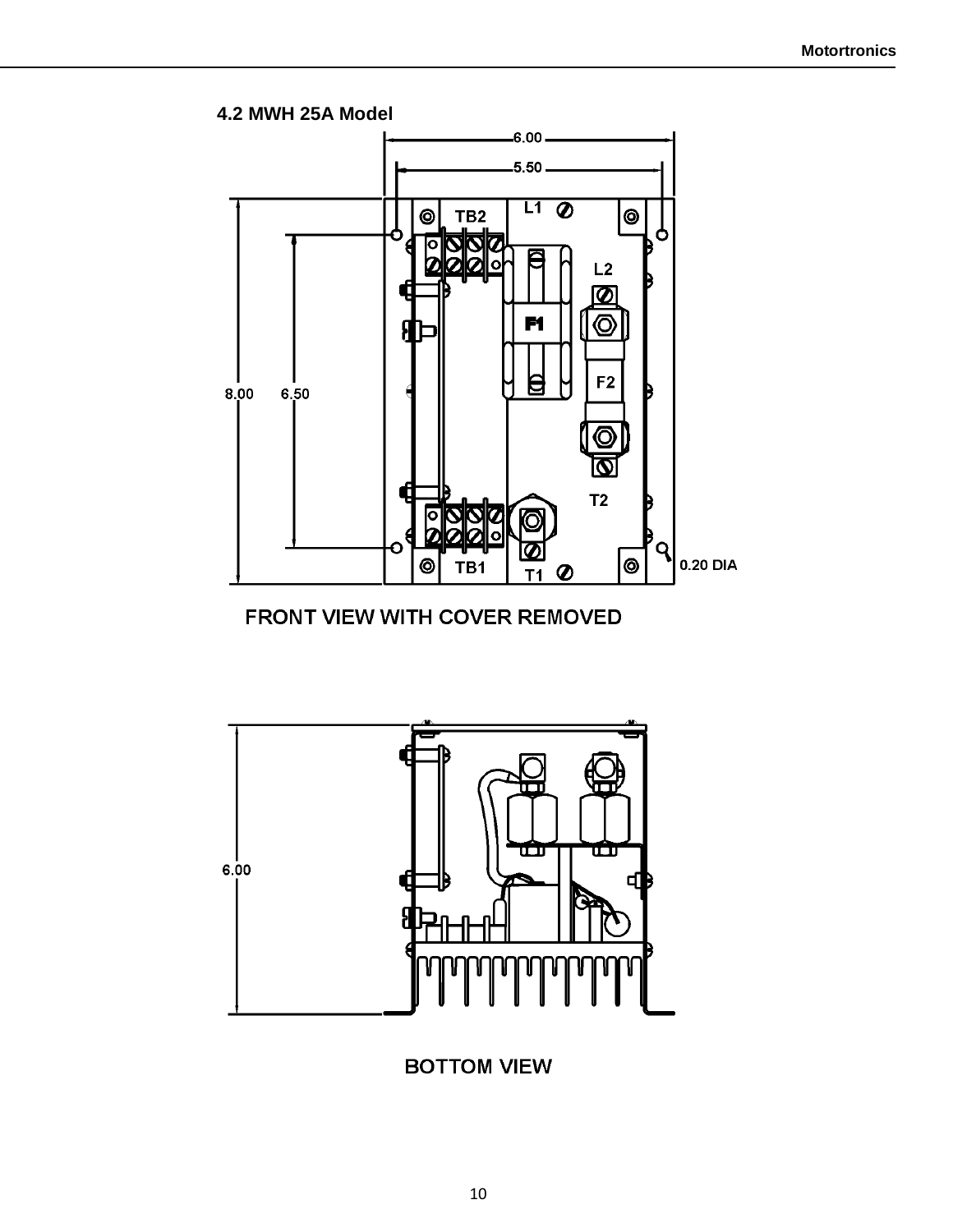

# FRONT VIEW WITH COVER REMOVED



# **BOTTOM VIEW**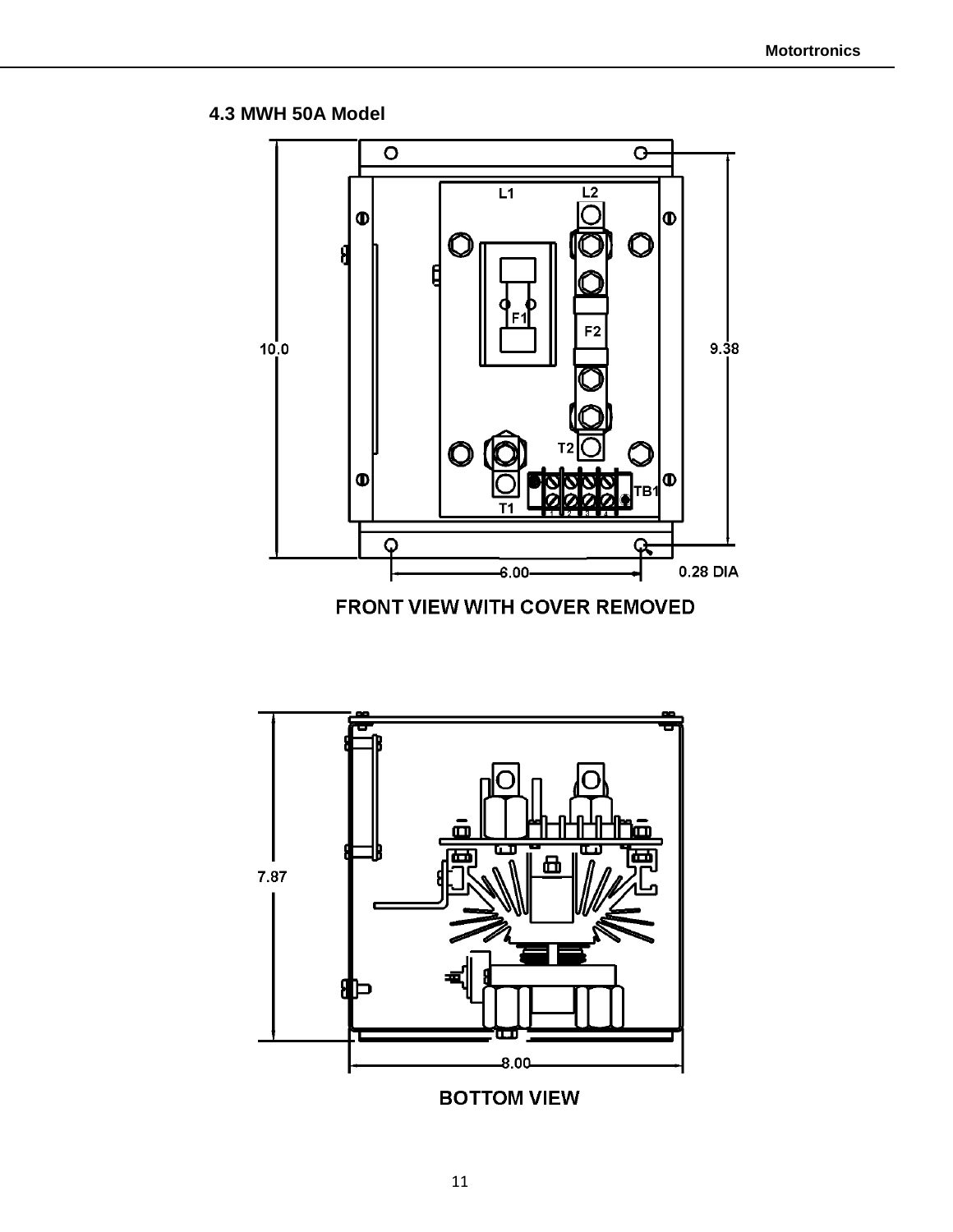**4.3 MWH 50A Model**



FRONT VIEW WITH COVER REMOVED



**BOTTOM VIEW**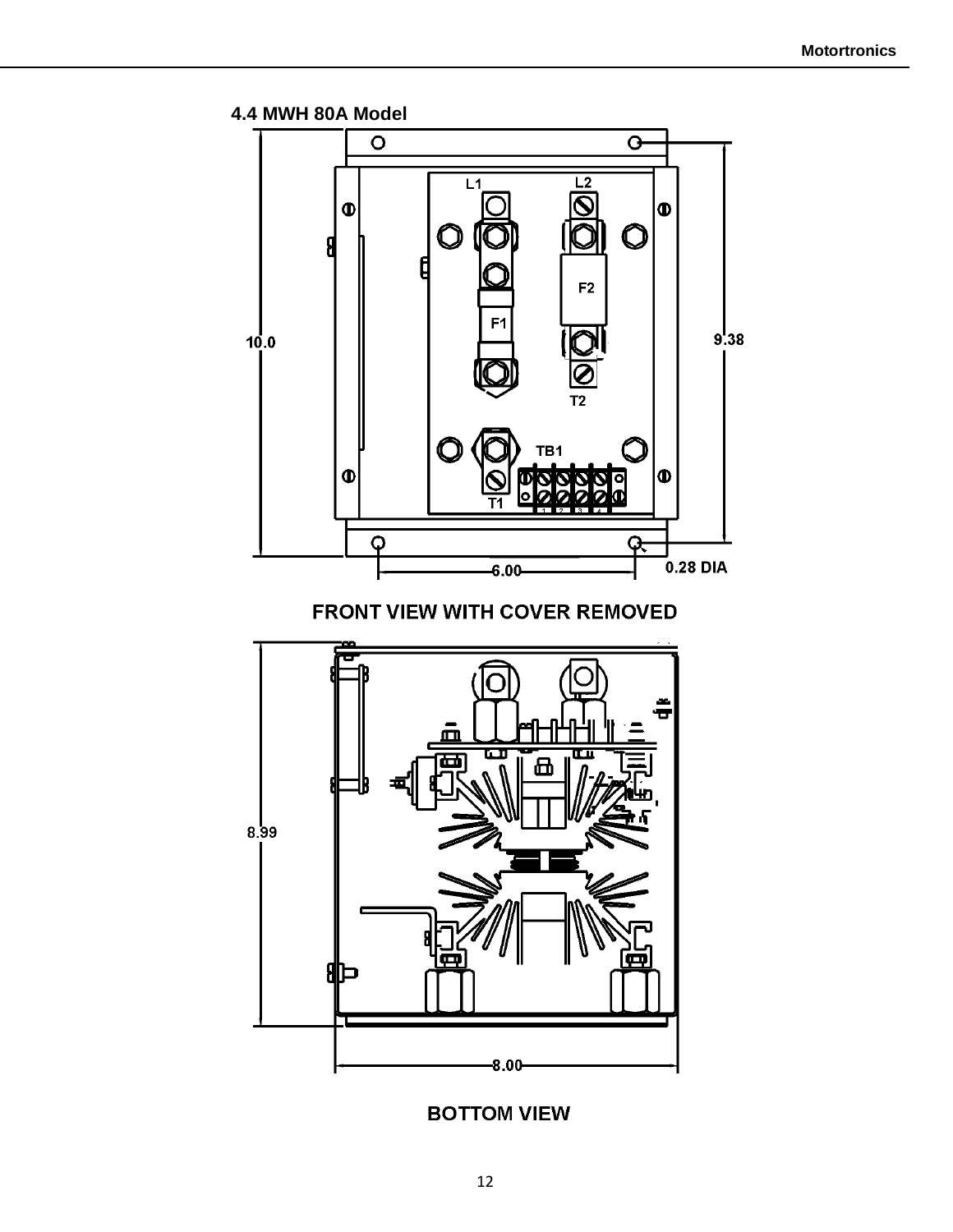



# **BOTTOM VIEW**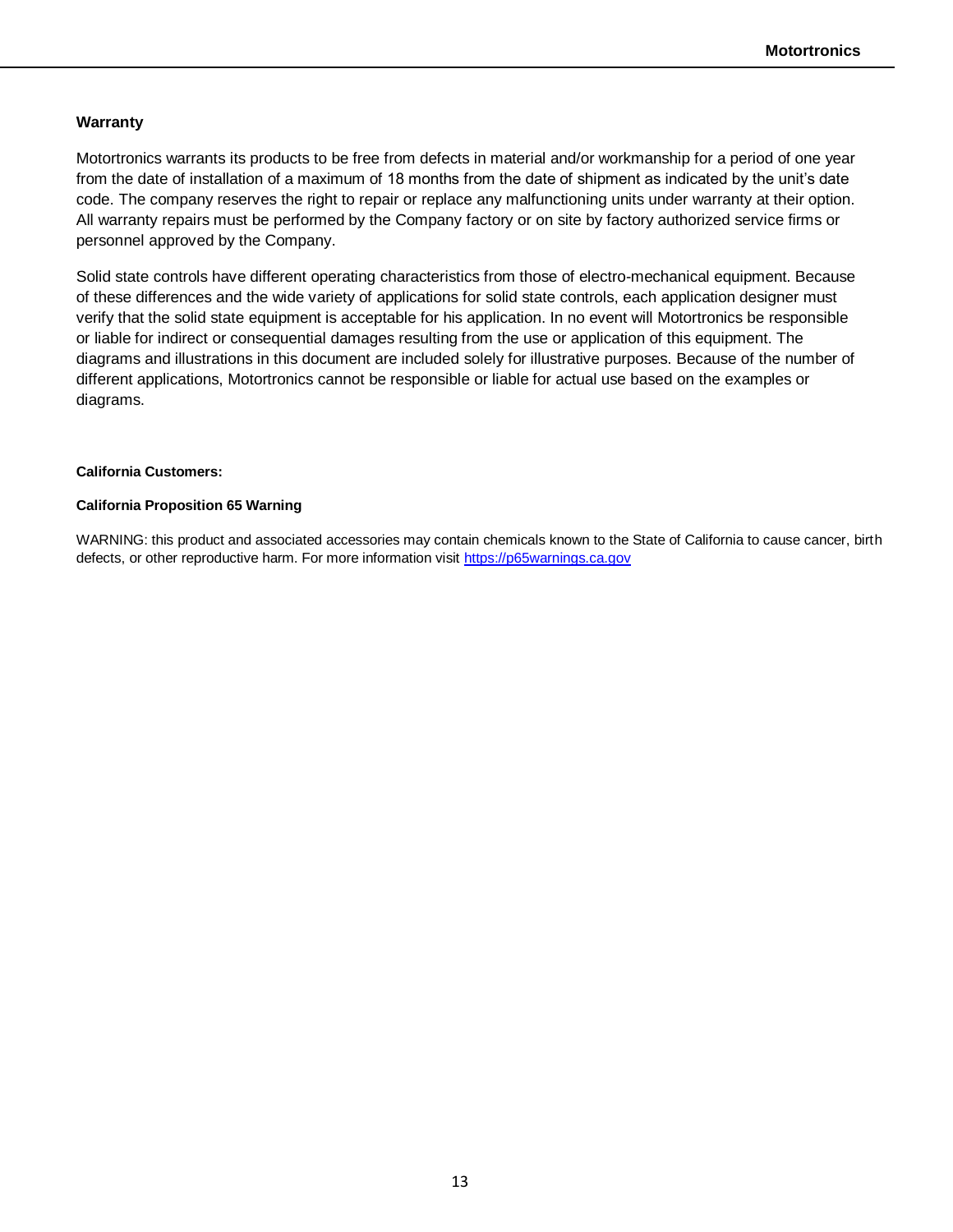#### **Warranty**

Motortronics warrants its products to be free from defects in material and/or workmanship for a period of one year from the date of installation of a maximum of 18 months from the date of shipment as indicated by the unit's date code. The company reserves the right to repair or replace any malfunctioning units under warranty at their option. All warranty repairs must be performed by the Company factory or on site by factory authorized service firms or personnel approved by the Company.

Solid state controls have different operating characteristics from those of electro-mechanical equipment. Because of these differences and the wide variety of applications for solid state controls, each application designer must verify that the solid state equipment is acceptable for his application. In no event will Motortronics be responsible or liable for indirect or consequential damages resulting from the use or application of this equipment. The diagrams and illustrations in this document are included solely for illustrative purposes. Because of the number of different applications, Motortronics cannot be responsible or liable for actual use based on the examples or diagrams.

#### **California Customers:**

#### **California Proposition 65 Warning**

WARNING: this product and associated accessories may contain chemicals known to the State of California to cause cancer, birth defects, or other reproductive harm. For more information visit [https://p65warnings.ca.gov](https://p65warnings.ca.gov/)